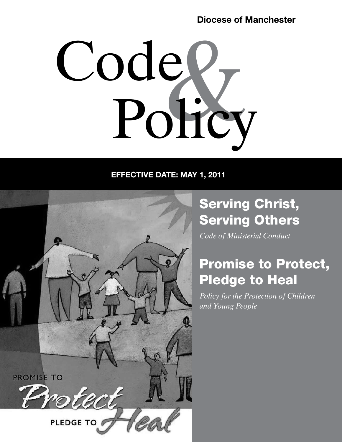# Diocese of Manchester



# EFFECTIVE DATE: MAY 1, 2011



# Serving Christ, Serving Others

*Code of Ministerial Conduct*

# Promise to Protect, Pledge to Heal

*Policy for the Protection of Children and Young People*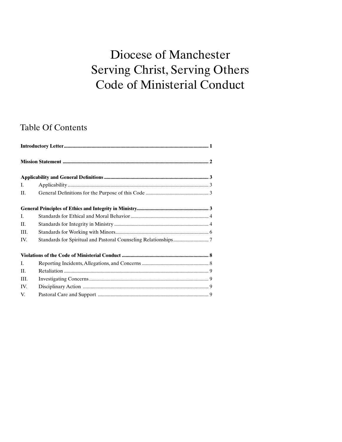# Diocese of Manchester Serving Christ, Serving Others Code of Ministerial Conduct

# Table Of Contents

| Ι.      |  |
|---------|--|
| II.     |  |
|         |  |
| Ι.      |  |
| II.     |  |
| III.    |  |
| IV.     |  |
|         |  |
| L.      |  |
| $\Pi$ . |  |
| III.    |  |
| IV.     |  |
| V.      |  |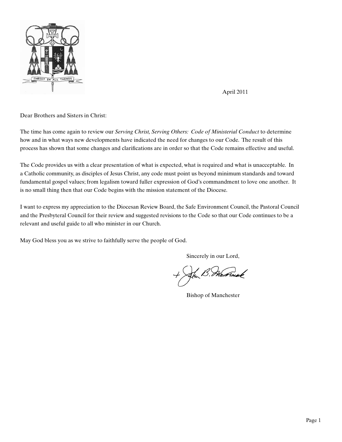

April 2011

Dear Brothers and Sisters in Christ:

The time has come again to review our *Serving Christ, Serving Others: Code of Ministerial Conduct* to determine how and in what ways new developments have indicated the need for changes to our Code. The result of this process has shown that some changes and clarifications are in order so that the Code remains effective and useful.

The Code provides us with a clear presentation of what is expected, what is required and what is unacceptable. In a Catholic community, as disciples of Jesus Christ, any code must point us beyond minimum standards and toward fundamental gospel values; from legalism toward fuller expression of God's commandment to love one another. It is no small thing then that our Code begins with the mission statement of the Diocese.

I want to express my appreciation to the Diocesan Review Board, the Safe Environment Council, the Pastoral Council and the Presbyteral Council for their review and suggested revisions to the Code so that our Code continues to be a relevant and useful guide to all who minister in our Church.

May God bless you as we strive to faithfully serve the people of God.

Sincerely in our Lord,

noomak

Bishop of Manchester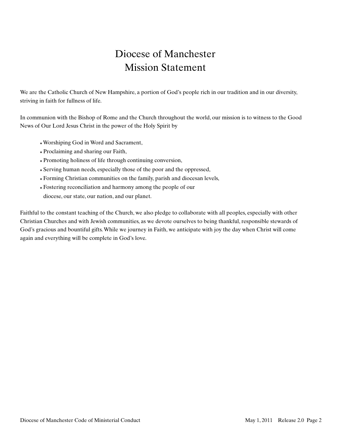# Diocese of Manchester Mission Statement

We are the Catholic Church of New Hampshire, a portion of God's people rich in our tradition and in our diversity, striving in faith for fullness of life.

In communion with the Bishop of Rome and the Church throughout the world, our mission is to witness to the Good News of Our Lord Jesus Christ in the power of the Holy Spirit by

- ♦ Worshiping God in Word and Sacrament,
- ♦ Proclaiming and sharing our Faith,
- ♦ Promoting holiness of life through continuing conversion,
- ♦ Serving human needs, especially those of the poor and the oppressed,
- ♦ Forming Christian communities on the family, parish and diocesan levels,
- ♦ Fostering reconciliation and harmony among the people of our diocese, our state, our nation, and our planet.

Faithful to the constant teaching of the Church, we also pledge to collaborate with all peoples, especially with other Christian Churches and with Jewish communities, as we devote ourselves to being thankful, responsible stewards of God's gracious and bountiful gifts. While we journey in Faith, we anticipate with joy the day when Christ will come again and everything will be complete in God's love.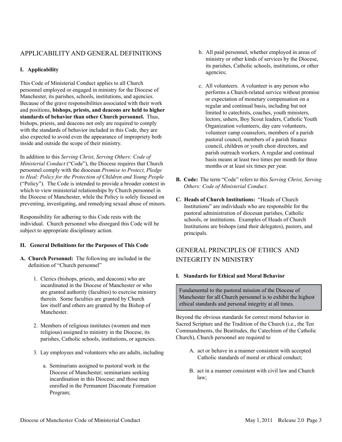### APPLICABILITY AND GENERAL DEFINITIONS

#### **I. Applicability**

This Code of Ministerial Conduct applies to all Church personnel employed or engaged in ministry for the Diocese of Manchester, its parishes, schools, institutions, and agencies. Because of the grave responsibilities associated with their work and positions, **bishops, priests, and deacons are held to higher standards of behavior than other Church personnel.** Thus, bishops, priests, and deacons not only are required to comply with the standards of behavior included in this Code, they are also expected to avoid even the appearance of impropriety both inside and outside the scope of their ministry.

In addition to this *Serving Christ, Serving Others: Code of Ministerial Conduct* ("Code"), the Diocese requires that Church personnel comply with the diocesan *Promise to Protect, Pledge to Heal: Policy for the Protection of Children and Young People* ("Policy"). The Code is intended to provide a broader context in which to view ministerial relationships by Church personnel in the Diocese of Manchester, while the Policy is solely focused on preventing, investigating, and remedying sexual abuse of minors.

Responsibility for adhering to this Code rests with the individual. Church personnel who disregard this Code will be subject to appropriate disciplinary action.

#### **II. General Definitions for the Purposes of This Code**

- **A. Church Personnel:** The following are included in the definition of "Church personnel"
	- 1.Clerics (bishops, priests, and deacons) who are incardinated in the Diocese of Manchester or who are granted authority (faculties) to exercise ministry therein. Some faculties are granted by Church law itself and others are granted by the Bishop of Manchester.
	- 2.Members of religious institutes (women and men religious) assigned to ministry in the Diocese, its parishes, Catholic schools, institutions, or agencies.
	- 3.Lay employees and volunteers who are adults, including
		- a.Seminarians assigned to pastoral work in the Diocese of Manchester; seminarians seeking incardination in this Diocese; and those men enrolled in the Permanent Diaconate Formation Program;
- b.All paid personnel, whether employed in areas of ministry or other kinds of services by the Diocese, its parishes, Catholic schools, institutions, or other agencies;
- c.All volunteers. A volunteer is any person who performs a Church-related service without promise or expectation of monetary compensation on a regular and continual basis, including but not limited to catechists, coaches, youth ministers, lectors, ushers, Boy Scout leaders, Catholic Youth Organization volunteers, day care volunteers, volunteer camp counselors, members of a parish pastoral council, members of a parish finance council, children or youth choir directors, and parish outreach workers. A regular and continual basis means at least two times per month for three months or at least six times per year.
- **B. Code:** The term "Code" refers to this *Serving Christ, Serving Others: Code of Ministerial Conduct*.
- **C. Heads of Church Institutions:** "Heads of Church Institutions" are individuals who are responsible for the pastoral administration of diocesan parishes, Catholic schools, or institutions. Examples of Heads of Church Institutions are bishops (and their delegates), pastors, and principals.

## GENERAL PRINCIPLES OF ETHICS AND INTEGRITY IN MINISTRY

#### **I. Standards for Ethical and Moral Behavior**

Fundamental to the pastoral mission of the Diocese of Manchester for all Church personnel is to exhibit the highest ethical standards and personal integrity at all times.

Beyond the obvious standards for correct moral behavior in Sacred Scripture and the Tradition of the Church (i.e., the Ten Commandments, the Beatitudes, the Catechism of the Catholic Church), Church personnel are required to

- A.act or behave in a manner consistent with accepted Catholic standards of moral or ethical conduct;
- B.act in a manner consistent with civil law and Church law;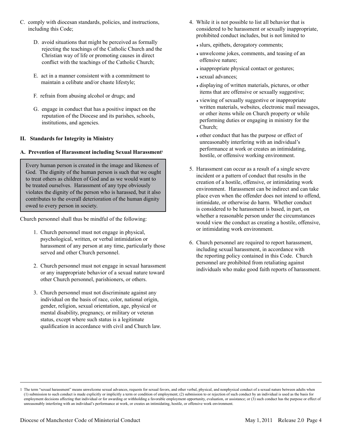- C.comply with diocesan standards, policies, and instructions, including this Code;
	- D. avoid situations that might be perceived as formally rejecting the teachings of the Catholic Church and the Christian way of life or promoting causes in direct conflict with the teachings of the Catholic Church;
	- E. act in a manner consistent with a commitment to maintain a celibate and/or chaste lifestyle;
	- F. refrain from abusing alcohol or drugs; and
	- G. engage in conduct that has a positive impact on the reputation of the Diocese and its parishes, schools, institutions, and agencies.

#### **II. Standards for Integrity in Ministry**

#### **A. Prevention of Harassment including Sexual Harassment<sup>1</sup>**

Every human person is created in the image and likeness of God. The dignity of the human person is such that we ought to treat others as children of God and as we would want to be treated ourselves. Harassment of any type obviously violates the dignity of the person who is harassed, but it also contributes to the overall deterioration of the human dignity owed to every person in society.

Church personnel shall thus be mindful of the following:

- 1.Church personnel must not engage in physical, psychological, written, or verbal intimidation or harassment of any person at any time, particularly those served and other Church personnel.
- 2.Church personnel must not engage in sexual harassment or any inappropriate behavior of a sexual nature toward other Church personnel, parishioners, or others.
- 3.Church personnel must not discriminate against any individual on the basis of race, color, national origin, gender, religion, sexual orientation, age, physical or mental disability, pregnancy, or military or veteran status, except where such status is a legitimate qualification in accordance with civil and Church law.
- 4.While it is not possible to list all behavior that is considered to be harassment or sexually inappropriate, prohibited conduct includes, but is not limited to
	- ♦ slurs, epithets, derogatory comments;
	- ♦ unwelcome jokes, comments, and teasing of an offensive nature;
	- $\bullet$  inappropriate physical contact or gestures;
	- ♦ sexual advances;
	- ♦ displaying of written materials, pictures, or other items that are offensive or sexually suggestive;
	- ♦ viewing of sexually suggestive or inappropriate written materials, websites, electronic mail messages, or other items while on Church property or while performing duties or engaging in ministry for the Church;
	- ♦ other conduct that has the purpose or effect of unreasonably interfering with an individual's performance at work or creates an intimidating, hostile, or offensive working environment.
- 5.Harassment can occur as a result of a single severe incident or a pattern of conduct that results in the creation of a hostile, offensive, or intimidating work environment. Harassment can be indirect and can take place even when the offender does not intend to offend, intimidate, or otherwise do harm. Whether conduct is considered to be harassment is based, in part, on whether a reasonable person under the circumstances would view the conduct as creating a hostile, offensive, or intimidating work environment.
- 6.Church personnel are required to report harassment, including sexual harassment, in accordance with the reporting policy contained in this Code. Church personnel are prohibited from retaliating against individuals who make good faith reports of harassment.

<sup>1</sup> The term "sexual harassment" means unwelcome sexual advances, requests for sexual favors, and other verbal, physical, and nonphysical conduct of a sexual nature between adults when (1) submission to such conduct is made explicitly or implicitly a term or condition of employment; (2) submission to or rejection of such conduct by an individual is used as the basis for employment decisions affecting that individual or for awarding or withholding a favorable employment opportunity, evaluation, or assistance; or (3) such conduct has the purpose or effect of unreasonably interfering with an individual's performance at work, or creates an intimidating, hostile, or offensive work environment.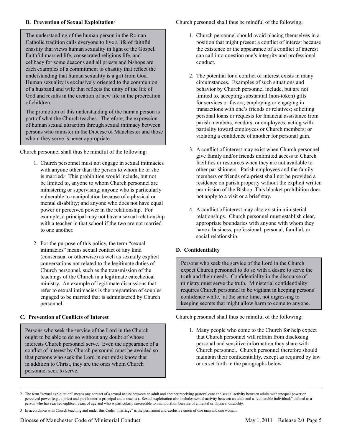The understanding of the human person in the Roman Catholic tradition calls everyone to live a life of faithful chastity that views human sexuality in light of the Gospel. Faithful married life, consecrated religious life, and celibacy for some deacons and all priests and bishops are each examples of a commitment to chastity that reflect the understanding that human sexuality is a gift from God. Human sexuality is exclusively oriented to the communion of a husband and wife that reflects the unity of the life of God and results in the creation of new life in the procreation of children.

The promotion of this understanding of the human person is part of what the Church teaches. Therefore, the expression of human sexual attraction through sexual intimacy between persons who minister in the Diocese of Manchester and those whom they serve is never appropriate.

Church personnel shall thus be mindful of the following:

- 1.Church personnel must not engage in sexual intimacies with anyone other than the person to whom he or she is married.3 This prohibition would include, but not be limited to, anyone to whom Church personnel are ministering or supervising; anyone who is particularly vulnerable to manipulation because of a physical or mental disability; and anyone who does not have equal power or perceived power in the relationship. For example, a principal may not have a sexual relationship with a teacher in that school if the two are not married to one another.
- 2.For the purpose of this policy, the term "sexual intimacies" means sexual contact of any kind (consensual or otherwise) as well as sexually explicit conversations not related to the legitimate duties of Church personnel, such as the transmission of the teachings of the Church in a legitimate catechetical ministry. An example of legitimate discussions that refer to sexual intimacies is the preparation of couples engaged to be married that is administered by Church personnel.

#### **C. Prevention of Conflicts of Interest**

Persons who seek the service of the Lord in the Church ought to be able to do so without any doubt of whose interests Church personnel serve. Even the appearance of a conflict of interest by Church personnel must be avoided so that persons who seek the Lord in our midst know that in addition to Christ, they are the ones whom Church personnel seek to serve.

Church personnel shall thus be mindful of the following:

- 1.Church personnel should avoid placing themselves in a position that might present a conflict of interest because the existence or the appearance of a conflict of interest can call into question one's integrity and professional conduct.
- 2.The potential for a conflict of interest exists in many circumstances. Examples of such situations and behavior by Church personnel include, but are not limited to, accepting substantial (non-token) gifts for services or favors; employing or engaging in transactions with one's friends or relatives; soliciting personal loans or requests for financial assistance from parish members, vendors, or employees; acting with partiality toward employees or Church members; or violating a confidence of another for personal gain.
- 3.A conflict of interest may exist when Church personnel give family and/or friends unlimited access to Church facilities or resources when they are not available to other parishioners. Parish employees and the family members or friends of a priest shall not be provided a residence on parish property without the explicit written permission of the Bishop. This blanket prohibition does not apply to a visit or a brief stay.
- 4.A conflict of interest may also exist in ministerial relationships. Church personnel must establish clear, appropriate boundaries with anyone with whom they have a business, professional, personal, familial, or social relationship.

#### **D. Confidentiality**

Persons who seek the service of the Lord in the Church expect Church personnel to do so with a desire to serve the truth and their needs. Confidentiality in the discourse of ministry must serve the truth. Ministerial confidentiality requires Church personnel to be vigilant in keeping persons' confidence while, at the same time, not digressing to keeping secrets that might allow harm to come to anyone.

Church personnel shall thus be mindful of the following:

1.Many people who come to the Church for help expect that Church personnel will refrain from disclosing personal and sensitive information they share with Church personnel. Church personnel therefore should maintain their confidentiality, except as required by law or as set forth in the paragraphs below.

<sup>2</sup> The term "sexual exploitation" means any contact of a sexual nature between an adult and another receiving pastoral care and sexual activity between adults with unequal power or perceived power (e.g., a priest and parishioner; a principal and a teacher). Sexual exploitation also includes sexual activity between an adult and a "vulnerable individual," defined as a person who has reached eighteen years of age and who is particularly susceptible to manipulation because of a mental or physical disability.

<sup>3</sup> In accordance with Church teaching and under this Code, "marriage" is the permanent and exclusive union of one man and one woman.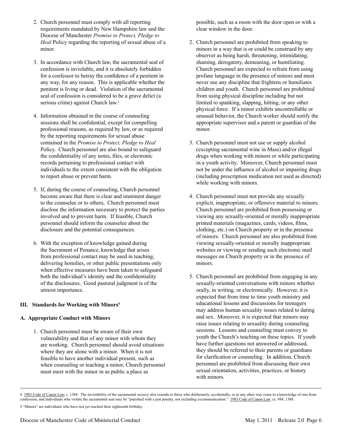- 2.Church personnel must comply with all reporting requirements mandated by New Hampshire law and the Diocese of Manchester *Promise to Protect, Pledge to Heal* Policy regarding the reporting of sexual abuse of a minor.
- 3.In accordance with Church law, the sacramental seal of confession is inviolable, and it is absolutely forbidden for a confessor to betray the confidence of a penitent in any way, for any reason. This is applicable whether the penitent is living or dead. Violation of the sacramental seal of confession is considered to be a grave delict (a serious crime) against Church law.4
- 4.Information obtained in the course of counseling sessions shall be confidential, except for compelling professional reasons, as required by law, or as required by the reporting requirements for sexual abuse contained in the *Promise to Protect, Pledge to Heal* Policy. Church personnel are also bound to safeguard the confidentiality of any notes, files, or electronic records pertaining to professional contact with individuals to the extent consistent with the obligation to report abuse or prevent harm.
- 5.If, during the course of counseling, Church personnel become aware that there is clear and imminent danger to the counselee or to others, Church personnel must disclose the information necessary to protect the parties involved and to prevent harm. If feasible, Church personnel should inform the counselee about the disclosure and the potential consequences.
- 6.With the exception of knowledge gained during the Sacrament of Penance, knowledge that arises from professional contact may be used in teaching, delivering homilies, or other public presentations only when effective measures have been taken to safeguard both the individual's identity and the confidentiality of the disclosures. Good pastoral judgment is of the utmost importance.

#### **III. Standards for Working with Minors5**

#### **A. Appropriate Conduct with Minors**

1.Church personnel must be aware of their own vulnerability and that of any minor with whom they are working. Church personnel should avoid situations where they are alone with a minor. When it is not feasible to have another individual present, such as when counseling or teaching a minor, Church personnel must meet with the minor in as public a place as

possible, such as a room with the door open or with a clear window in the door.

- 2.Church personnel are prohibited from speaking to minors in a way that is or could be construed by any observer as being harsh, threatening, intimidating, shaming, derogatory, demeaning, or humiliating. Church personnel are expected to refrain from using profane language in the presence of minors and must never use any discipline that frightens or humiliates children and youth. Church personnel are prohibited from using physical discipline including but not limited to spanking, slapping, hitting, or any other physical force. If a minor exhibits uncontrollable or unusual behavior, the Church worker should notify the appropriate supervisor and a parent or guardian of the minor.
- 3.Church personnel must not use or supply alcohol (excepting sacramental wine in Mass) and/or illegal drugs when working with minors or while participating in a youth activity. Moreover, Church personnel must not be under the influence of alcohol or impairing drugs (including prescription medication not used as directed) while working with minors.
- 4.Church personnel must not provide any sexually explicit, inappropriate, or offensive material to minors. Church personnel are prohibited from possessing or viewing any sexually-oriented or morally inappropriate printed materials (magazines, cards, videos, films, clothing, etc.) on Church property or in the presence of minors. Church personnel are also prohibited from viewing sexually-oriented or morally inappropriate websites or viewing or sending such electronic mail messages on Church property or in the presence of minors.
- 5.Church personnel are prohibited from engaging in any sexually-oriented conversations with minors whether orally, in writing, or electronically. However, it is expected that from time to time youth ministry and educational lessons and discussions for teenagers may address human sexuality issues related to dating and sex. Moreover, it is expected that minors may raise issues relating to sexuality during counseling sessions. Lessons and counseling must convey to youth the Church's teaching on these topics. If youth have further questions not answered or addressed, they should be referred to their parents or guardians for clarification or counseling. In addition, Church personnel are prohibited from discussing their own sexual orientation, activities, practices, or history with minors.

<sup>4 1983</sup> Code of Canon Law, c. 1388. The inviolability of the sacramental secrecy also extends to those who deliberately, accidentally, or in any other way come to a knowledge of sins from confession, and individuals who violate the sacramental seal may be "punished with a just penalty, not excluding excommunication." 1983 Code of Canon Law, cc. 984, 1388.

<sup>5 &</sup>quot;Minors" are individuals who have not yet reached their eighteenth birthday.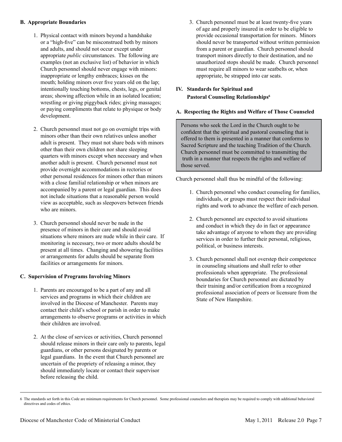#### **B. Appropriate Boundaries**

- 1.Physical contact with minors beyond a handshake or a "high-five" can be misconstrued both by minors and adults, and should not occur except under appropriate *public* circumstances. The following are examples (not an exclusive list) of behavior in which Church personnel should never engage with minors: inappropriate or lengthy embraces; kisses on the mouth; holding minors over five years old on the lap; intentionally touching bottoms, chests, legs, or genital areas; showing affection while in an isolated location; wrestling or giving piggyback rides; giving massages; or paying compliments that relate to physique or body development.
- 2.Church personnel must not go on overnight trips with minors other than their own relatives unless another adult is present. They must not share beds with minors other than their own children nor share sleeping quarters with minors except when necessary and when another adult is present. Church personnel must not provide overnight accommodations in rectories or other personal residences for minors other than minors with a close familial relationship or when minors are accompanied by a parent or legal guardian. This does not include situations that a reasonable person would view as acceptable, such as sleepovers between friends who are minors.
- 3.Church personnel should never be nude in the presence of minors in their care and should avoid situations where minors are nude while in their care. If monitoring is necessary, two or more adults should be present at all times. Changing and showering facilities or arrangements for adults should be separate from facilities or arrangements for minors.

#### **C. Supervision of Programs Involving Minors**

- 1.Parents are encouraged to be a part of any and all services and programs in which their children are involved in the Diocese of Manchester. Parents may contact their child's school or parish in order to make arrangements to observe programs or activities in which their children are involved.
- 2.At the close of services or activities, Church personnel should release minors in their care only to parents, legal guardians, or other persons designated by parents or legal guardians. In the event that Church personnel are uncertain of the propriety of releasing a minor, they should immediately locate or contact their supervisor before releasing the child.

3.Church personnel must be at least twenty-five years of age and properly insured in order to be eligible to provide occasional transportation for minors. Minors should never be transported without written permission from a parent or guardian. Church personnel should transport minors directly to their destination, and no unauthorized stops should be made. Church personnel must require all minors to wear seatbelts or, when appropriate, be strapped into car seats.

#### **IV. Standards for Spiritual and Pastoral Counseling Relationships<sup>6</sup>**

#### **A. Respecting the Rights and Welfare of Those Counseled**

Persons who seek the Lord in the Church ought to be confident that the spiritual and pastoral counseling that is offered to them is presented in a manner that conforms to Sacred Scripture and the teaching Tradition of the Church. Church personnel must be committed to transmitting the truth in a manner that respects the rights and welfare of those served.

Church personnel shall thus be mindful of the following:

- 1.Church personnel who conduct counseling for families, individuals, or groups must respect their individual rights and work to advance the welfare of each person.
- 2.Church personnel are expected to avoid situations and conduct in which they do in fact or appearance take advantage of anyone to whom they are providing services in order to further their personal, religious, political, or business interests.
- 3.Church personnel shall not overstep their competence in counseling situations and shall refer to other professionals when appropriate. The professional boundaries for Church personnel are dictated by their training and/or certification from a recognized professional association of peers or licensure from the State of New Hampshire.

<sup>6</sup> The standards set forth in this Code are minimum requirements for Church personnel. Some professional counselors and therapists may be required to comply with additional behavioral directives and codes of ethics.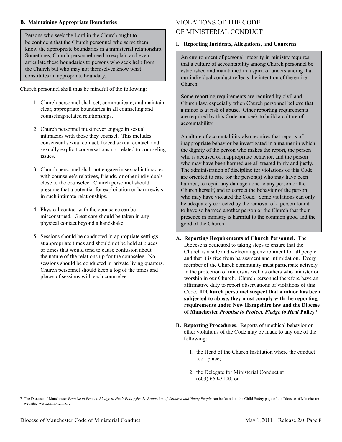#### **B. Maintaining Appropriate Boundaries**

Persons who seek the Lord in the Church ought to be confident that the Church personnel who serve them know the appropriate boundaries in a ministerial relationship. Sometimes, Church personnel need to explain and even articulate these boundaries to persons who seek help from the Church but who may not themselves know what constitutes an appropriate boundary.

Church personnel shall thus be mindful of the following:

- 1.Church personnel shall set, communicate, and maintain clear, appropriate boundaries in all counseling and counseling-related relationships.
- 2.Church personnel must never engage in sexual intimacies with those they counsel. This includes consensual sexual contact, forced sexual contact, and sexually explicit conversations not related to counseling issues.
- 3.Church personnel shall not engage in sexual intimacies with counselee's relatives, friends, or other individuals close to the counselee. Church personnel should presume that a potential for exploitation or harm exists in such intimate relationships.
- 4.Physical contact with the counselee can be misconstrued. Great care should be taken in any physical contact beyond a handshake.
- 5.Sessions should be conducted in appropriate settings at appropriate times and should not be held at places or times that would tend to cause confusion about the nature of the relationship for the counselee. No sessions should be conducted in private living quarters. Church personnel should keep a log of the times and places of sessions with each counselee.

## VIOLATIONS OF THE CODE OF MINISTERIAL CONDUCT

#### **I. Reporting Incidents, Allegations, and Concerns**

An environment of personal integrity in ministry requires that a culture of accountability among Church personnel be established and maintained in a spirit of understanding that our individual conduct reflects the intention of the entire Church.

Some reporting requirements are required by civil and Church law, especially when Church personnel believe that a minor is at risk of abuse. Other reporting requirements are required by this Code and seek to build a culture of accountability.

A culture of accountability also requires that reports of inappropriate behavior be investigated in a manner in which the dignity of the person who makes the report, the person who is accused of inappropriate behavior, and the person who may have been harmed are all treated fairly and justly. The administration of discipline for violations of this Code are oriented to care for the person(s) who may have been harmed, to repair any damage done to any person or the Church herself, and to correct the behavior of the person who may have violated the Code. Some violations can only be adequately corrected by the removal of a person found to have so harmed another person or the Church that their presence in ministry is harmful to the common good and the good of the Church.

- **A. Reporting Requirements of Church Personnel.** The Diocese is dedicated to taking steps to ensure that the Church is a safe and welcoming environment for all people and that it is free from harassment and intimidation. Every member of the Church community must participate actively in the protection of minors as well as others who minister or worship in our Church. Church personnel therefore have an affirmative duty to report observations of violations of this Code. **If Church personnel suspect that a minor has been subjected to abuse, they must comply with the reporting requirements under New Hampshire law and the Diocese of Manchester** *Promise to Protect, Pledge to Heal* **Policy.<sup>7</sup>**
- **B. Reporting Procedures**. Reports of unethical behavior or other violations of the Code may be made to any one of the following:
	- 1.the Head of the Church Institution where the conduct took place;
	- 2.the Delegate for Ministerial Conduct at (603) 669-3100; or

<sup>7</sup> The Diocese of Manchester *Promise to Protect, Pledge to Heal: Policy for the Protection of Children and Young People* can be found on the Child Safety page of the Diocese of Manchester website: www.catholicnh.org.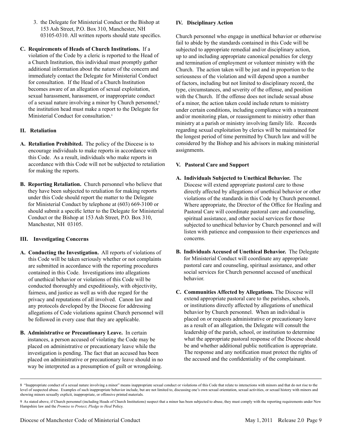- 3.the Delegate for Ministerial Conduct or the Bishop at 153 Ash Street, P.O. Box 310, Manchester, NH 03105-0310. All written reports should state specifics.
- **C. Requirements of Heads of Church Institutions.** If a violation of the Code by a cleric is reported to the Head of a Church Institution, this individual must promptly gather additional information about the nature of the concern and immediately contact the Delegate for Ministerial Conduct for consultation. If the Head of a Church Institution becomes aware of an allegation of sexual exploitation, sexual harassment, harassment, or inappropriate conduct of a sexual nature involving a minor by Church personnel,<sup>8</sup> the institution head must make a report to the Delegate for Ministerial Conduct for consultation.<sup>9</sup>

#### **II. Retaliation**

- **A. Retaliation Prohibited.** The policy of the Diocese is to encourage individuals to make reports in accordance with this Code. As a result, individuals who make reports in accordance with this Code will not be subjected to retaliation for making the reports.
- **B. Reporting Retaliation.** Church personnel who believe that they have been subjected to retaliation for making reports under this Code should report the matter to the Delegate for Ministerial Conduct by telephone at (603) 669-3100 or should submit a specific letter to the Delegate for Ministerial Conduct or the Bishop at 153 Ash Street, P.O. Box 310, Manchester, NH 03105.

#### **III. Investigating Concerns**

- **A. Conducting the Investigation.** All reports of violations of this Code will be taken seriously whether or not complaints are submitted in accordance with the reporting procedures contained in this Code. Investigations into allegations of unethical behavior or violations of this Code will be conducted thoroughly and expeditiously, with objectivity, fairness, and justice as well as with due regard for the privacy and reputations of all involved. Canon law and any protocols developed by the Diocese for addressing allegations of Code violations against Church personnel will be followed in every case that they are applicable.
- **B. Administrative or Precautionary Leave.** In certain instances, a person accused of violating the Code may be placed on administrative or precautionary leave while the investigation is pending. The fact that an accused has been placed on administrative or precautionary leave should in no way be interpreted as a presumption of guilt or wrongdoing.

#### **IV. Disciplinary Action**

Church personnel who engage in unethical behavior or otherwise fail to abide by the standards contained in this Code will be subjected to appropriate remedial and/or disciplinary action, up to and including appropriate canonical penalties for clergy and termination of employment or volunteer ministry with the Church. The action taken will be just and in proportion to the seriousness of the violation and will depend upon a number of factors, including but not limited to disciplinary record, the type, circumstances, and severity of the offense, and position with the Church. If the offense does not include sexual abuse of a minor, the action taken could include return to ministry under certain conditions, including compliance with a treatment and/or monitoring plan, or reassignment to ministry other than ministry at a parish or ministry involving family life. Records regarding sexual exploitation by clerics will be maintained for the longest period of time permitted by Church law and will be considered by the Bishop and his advisors in making ministerial assignments.

#### **V. Pastoral Care and Support**

- **A. Individuals Subjected to Unethical Behavior.** The Diocese will extend appropriate pastoral care to those directly affected by allegations of unethical behavior or other violations of the standards in this Code by Church personnel. Where appropriate, the Director of the Office for Healing and Pastoral Care will coordinate pastoral care and counseling, spiritual assistance, and other social services for those subjected to unethical behavior by Church personnel and will listen with patience and compassion to their experiences and concerns.
- **B. Individuals Accused of Unethical Behavior.** The Delegate for Ministerial Conduct will coordinate any appropriate pastoral care and counseling, spiritual assistance, and other social services for Church personnel accused of unethical behavior.
- **C. Communities Affected by Allegations.** The Diocese will extend appropriate pastoral care to the parishes, schools, or institutions directly affected by allegations of unethical behavior by Church personnel. When an individual is placed on or requests administrative or precautionary leave as a result of an allegation, the Delegate will consult the leadership of the parish, school, or institution to determine what the appropriate pastoral response of the Diocese should be and whether additional public notification is appropriate. The response and any notification must protect the rights of the accused and the confidentiality of the complainant.

<sup>8 &</sup>quot;Inappropriate conduct of a sexual nature involving a minor" means inappropriate sexual conduct or violations of this Code that relate to interactions with minors and that do not rise to the level of suspected abuse. Examples of such inappropriate behavior include, but are not limited to, discussing one's own sexual orientation, sexual activities, or sexual history with minors and showing minors sexually explicit, inappropriate, or offensive printed materials.

<sup>9</sup> As stated above, if Church personnel (including Heads of Church Institutions) suspect that a minor has been subjected to abuse, they must comply with the reporting requirements under New Hampshire law and the *Promise to Protect, Pledge to Heal* Policy.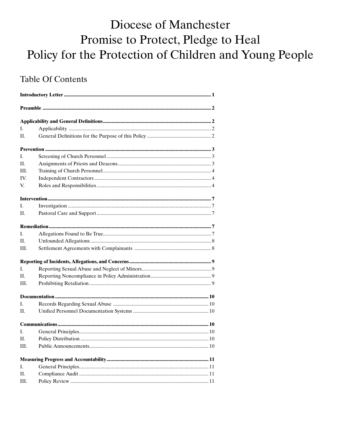# Diocese of Manchester Promise to Protect, Pledge to Heal Policy for the Protection of Children and Young People

# **Table Of Contents**

| L.   |  |  |  |
|------|--|--|--|
| H.   |  |  |  |
|      |  |  |  |
| L    |  |  |  |
| II.  |  |  |  |
| III. |  |  |  |
| IV.  |  |  |  |
| V.   |  |  |  |
|      |  |  |  |
| L.   |  |  |  |
| H.   |  |  |  |
|      |  |  |  |
| L    |  |  |  |
| H.   |  |  |  |
| HI.  |  |  |  |
|      |  |  |  |
| L.   |  |  |  |
| П.   |  |  |  |
| HI.  |  |  |  |
|      |  |  |  |
| L.   |  |  |  |
| П.   |  |  |  |
|      |  |  |  |
| L    |  |  |  |
| П.   |  |  |  |
| III. |  |  |  |
|      |  |  |  |
| Ι.   |  |  |  |
| П.   |  |  |  |
| III. |  |  |  |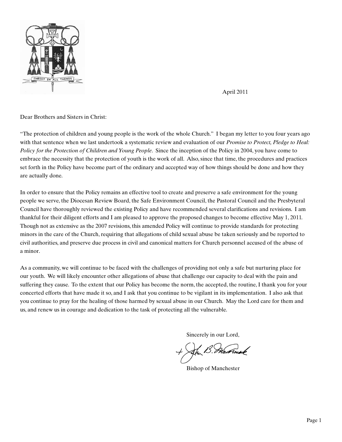

April 2011

#### Dear Brothers and Sisters in Christ:

"The protection of children and young people is the work of the whole Church." I began my letter to you four years ago with that sentence when we last undertook a systematic review and evaluation of our *Promise to Protect, Pledge to Heal: Policy for the Protection of Children and Young People*. Since the inception of the Policy in 2004, you have come to embrace the necessity that the protection of youth is the work of all. Also, since that time, the procedures and practices set forth in the Policy have become part of the ordinary and accepted way of how things should be done and how they are actually done.

In order to ensure that the Policy remains an effective tool to create and preserve a safe environment for the young people we serve, the Diocesan Review Board, the Safe Environment Council, the Pastoral Council and the Presbyteral Council have thoroughly reviewed the existing Policy and have recommended several clarifications and revisions. I am thankful for their diligent efforts and I am pleased to approve the proposed changes to become effective May 1, 2011. Though not as extensive as the 2007 revisions, this amended Policy will continue to provide standards for protecting minors in the care of the Church, requiring that allegations of child sexual abuse be taken seriously and be reported to civil authorities, and preserve due process in civil and canonical matters for Church personnel accused of the abuse of a minor.

As a community, we will continue to be faced with the challenges of providing not only a safe but nurturing place for our youth. We will likely encounter other allegations of abuse that challenge our capacity to deal with the pain and suffering they cause. To the extent that our Policy has become the norm, the accepted, the routine, I thank you for your concerted efforts that have made it so, and I ask that you continue to be vigilant in its implementation. I also ask that you continue to pray for the healing of those harmed by sexual abuse in our Church. May the Lord care for them and us, and renew us in courage and dedication to the task of protecting all the vulnerable.

Sincerely in our Lord,

Bishop of Manchester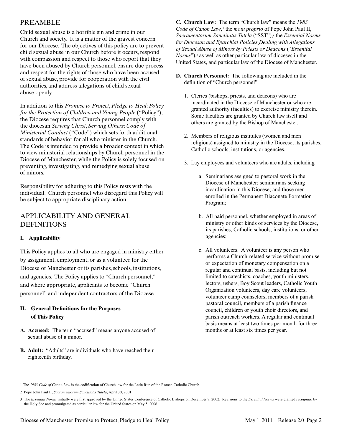#### PREAMBLE

Child sexual abuse is a horrible sin and crime in our Church and society. It is a matter of the gravest concern for our Diocese. The objectives of this policy are to prevent child sexual abuse in our Church before it occurs, respond with compassion and respect to those who report that they have been abused by Church personnel, ensure due process and respect for the rights of those who have been accused of sexual abuse, provide for cooperation with the civil authorities, and address allegations of child sexual abuse openly.

In addition to this *Promise to Protect*, *Pledge to Heal*: *Policy for the Protection of Children and Young People* ("Policy"), the Diocese requires that Church personnel comply with the diocesan *Serving Christ*, *Serving Others*: *Code of Ministerial Conduct* ("Code") which sets forth additional standards of behavior for all who minister in the Church. The Code is intended to provide a broader context in which to view ministerial relationships by Church personnel in the Diocese of Manchester, while the Policy is solely focused on preventing, investigating, and remedying sexual abuse of minors.

Responsibility for adhering to this Policy rests with the individual. Church personnel who disregard this Policy will be subject to appropriate disciplinary action.

### APPLICABILITY AND GENERAL DEFINITIONS

#### **I. Applicability**

This Policy applies to all who are engaged in ministry either by assignment, employment, or as a volunteer for the Diocese of Manchester or its parishes, schools, institutions, and agencies. The Policy applies to "Church personnel," and where appropriate, applicants to become "Church personnel" and independent contractors of the Diocese.

#### **II. General Definitions for the Purposes of This Policy**

- **A. Accused:** The term "accused" means anyone accused of sexual abuse of a minor.
- **B. Adult:** "Adults" are individuals who have reached their eighteenth birthday.

**C. Church Law:** The term "Church law" means the *1983 Code of Canon Law*, the *motu proprio* of Pope John Paul II, Sacramentorum Sanctitatis Tutela ("SST"),<sup>2</sup> the *Essential Norms for Diocesan and Eparchial Policies Dealing with Allegations of Sexual Abuse of Minors by Priests or Deacons* ("*Essential Norms*"),<sup>3</sup> as well as other particular law of dioceses in the United States, and particular law of the Diocese of Manchester.

- **D. Church Personnel:** The following are included in the definition of "Church personnel"
	- 1.Clerics (bishops, priests, and deacons) who are incardinated in the Diocese of Manchester or who are granted authority (faculties) to exercise ministry therein. Some faculties are granted by Church law itself and others are granted by the Bishop of Manchester.
	- 2.Members of religious institutes (women and men religious) assigned to ministry in the Diocese, its parishes, Catholic schools, institutions, or agencies.
	- 3.Lay employees and volunteers who are adults, including
		- a.Seminarians assigned to pastoral work in the Diocese of Manchester; seminarians seeking incardination in this Diocese; and those men enrolled in the Permanent Diaconate Formation Program;
		- b.All paid personnel, whether employed in areas of ministry or other kinds of services by the Diocese, its parishes, Catholic schools, institutions, or other agencies;
		- c.All volunteers. A volunteer is any person who performs a Church-related service without promise or expectation of monetary compensation on a regular and continual basis, including but not limited to catechists, coaches, youth ministers, lectors, ushers, Boy Scout leaders, Catholic Youth Organization volunteers, day care volunteers, volunteer camp counselors, members of a parish pastoral council, members of a parish finance council, children or youth choir directors, and parish outreach workers. A regular and continual basis means at least two times per month for three months or at least six times per year.

<sup>1</sup> The *1983 Code of Canon Law* is the codification of Church law for the Latin Rite of the Roman Catholic Church.

<sup>2</sup> Pope John Paul II, *Sacramentorum Sanctitatis Tutela*, April 30, 2001.

<sup>3</sup> The *Essential Norms* initially were first approved by the United States Conference of Catholic Bishops on December 8, 2002. Revisions to the *Essential Norms* were granted *recognitio* by the Holy See and promulgated as particular law for the United States on May 5, 2006.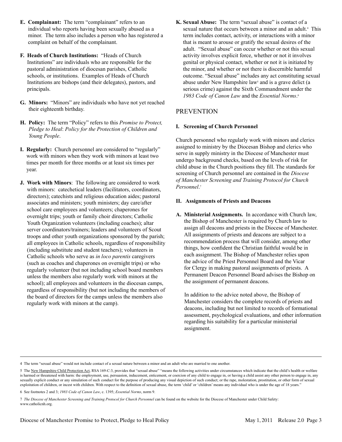- **E. Complainant:** The term "complainant" refers to an individual who reports having been sexually abused as a minor. The term also includes a person who has registered a complaint on behalf of the complainant.
- **F. Heads of Church Institutions:** "Heads of Church Institutions" are individuals who are responsible for the pastoral administration of diocesan parishes, Catholic schools, or institutions. Examples of Heads of Church Institutions are bishops (and their delegates), pastors, and principals.
- **G. Minors:** "Minors" are individuals who have not yet reached their eighteenth birthday.
- **H. Policy:** The term "Policy" refers to this *Promise to Protect, Pledge to Heal*: *Policy for the Protection of Children and Young People*.
- **I. Regularly:** Church personnel are considered to "regularly" work with minors when they work with minors at least two times per month for three months or at least six times per year.
- **J. Work with Minors**: The following are considered to work with minors: catechetical leaders (facilitators, coordinators, directors); catechists and religious education aides; pastoral associates and ministers; youth ministers; day care/after school care employees and volunteers; chaperones for overnight trips; youth or family choir directors; Catholic Youth Organization volunteers (including coaches); altar server coordinators/trainers; leaders and volunteers of Scout troops and other youth organizations sponsored by the parish; all employees in Catholic schools, regardless of responsibility (including substitute and student teachers); volunteers in Catholic schools who serve as *in loco parentis* caregivers (such as coaches and chaperones on overnight trips) or who regularly volunteer (but not including school board members unless the members also regularly work with minors at the school); all employees and volunteers in the diocesan camps, regardless of responsibility (but not including the members of the board of directors for the camps unless the members also regularly work with minors at the camp).

**K. Sexual Abuse:** The term "sexual abuse" is contact of a sexual nature that occurs between a minor and an adult.<sup>4</sup> This term includes contact, activity, or interactions with a minor that is meant to arouse or gratify the sexual desires of the adult. "Sexual abuse" can occur whether or not this sexual activity involves explicit force, whether or not it involves genital or physical contact, whether or not it is initiated by the minor, and whether or not there is discernible harmful outcome. "Sexual abuse" includes any act constituting sexual abuse under New Hampshire law<sup>5</sup> and is a grave delict (a serious crime) against the Sixth Commandment under the *1983 Code of Canon Law* and the *Essential Norms*. 6

### PREVENTION

#### **I. Screening of Church Personnel**

Church personnel who regularly work with minors and clerics assigned to ministry by the Diocesan Bishop and clerics who serve in supply ministry in the Diocese of Manchester must undergo background checks, based on the levels of risk for child abuse in the Church positions they fill. The standards for screening of Church personnel are contained in the *Diocese of Manchester Screening and Training Protocol for Church Personnel*. 7

#### **II. Assignments of Priests and Deacons**

**A. Ministerial Assignments.** In accordance with Church law, the Bishop of Manchester is required by Church law to assign all deacons and priests in the Diocese of Manchester. All assignments of priests and deacons are subject to a recommendation process that will consider, among other things, how confident the Christian faithful would be in each assignment. The Bishop of Manchester relies upon the advice of the Priest Personnel Board and the Vicar for Clergy in making pastoral assignments of priests. A Permanent Deacon Personnel Board advises the Bishop on the assignment of permanent deacons.

 In addition to the advice noted above, the Bishop of Manchester considers the complete records of priests and deacons, including but not limited to records of formational assessment, psychological evaluations, and other information regarding his suitability for a particular ministerial assignment.

<sup>4</sup> The term "sexual abuse" would not include contact of a sexual nature between a minor and an adult who are married to one another.

<sup>5</sup> The New Hampshire Child Protection Act, RSA 169-C:3, provides that "sexual abuse" "means the following activities under circumstances which indicate that the child's health or welfare is harmed or threatened with harm: the employment, use, persuasion, inducement, enticement, or coercion of any child to engage in, or having a child assist any other person to engage in, any sexually explicit conduct or any simulation of such conduct for the purpose of producing any visual depiction of such conduct; or the rape, molestation, prostitution, or other form of sexual exploitation of children, or incest with children. With respect to the definition of sexual abuse, the term 'child' or 'children' means any individual who is under the age of 18 years."

<sup>6</sup> See footnotes 2 and 3; *1983 Code of Canon Law*, c. 1395; *Essential Norms*, norm 9.

<sup>7</sup> *The Diocese of Manchester Screening and Training Protocol for Church Personnel* can be found on the website for the Diocese of Manchester under Child Safety: www.catholicnh.org.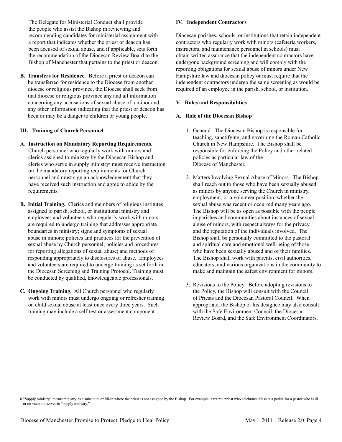The Delegate for Ministerial Conduct shall provide the people who assist the Bishop in reviewing and recommending candidates for ministerial assignment with a report that indicates whether the priest or deacon has been accused of sexual abuse, and if applicable, sets forth the recommendation of the Diocesan Review Board to the Bishop of Manchester that pertains to the priest or deacon.

**B. Transfers for Residence.** Before a priest or deacon can be transferred for residence to the Diocese from another diocese or religious province, the Diocese shall seek from that diocese or religious province any and all information concerning any accusations of sexual abuse of a minor and any other information indicating that the priest or deacon has been or may be a danger to children or young people.

#### **III. Training of Church Personnel**

- **A. Instruction on Mandatory Reporting Requirements.** Church personnel who regularly work with minors and clerics assigned to ministry by the Diocesan Bishop and clerics who serve in supply ministry8 must receive instruction on the mandatory reporting requirements for Church personnel and must sign an acknowledgement that they have received such instruction and agree to abide by the requirements.
- **B. Initial Training.** Clerics and members of religious institutes assigned to parish, school, or institutional ministry and employees and volunteers who regularly work with minors are required to undergo training that addresses appropriate boundaries in ministry; signs and symptoms of sexual abuse in minors; policies and practices for the prevention of sexual abuse by Church personnel; policies and procedures for reporting allegations of sexual abuse; and methods of responding appropriately to disclosures of abuse. Employees and volunteers are required to undergo training as set forth in the Diocesan Screening and Training Protocol. Training must be conducted by qualified, knowledgeable professionals.
- **C. Ongoing Training.** All Church personnel who regularly work with minors must undergo ongoing or refresher training on child sexual abuse at least once every three years. Such training may include a self-test or assessment component.

#### **IV. Independent Contractors**

Diocesan parishes, schools, or institutions that retain independent contractors who regularly work with minors (cafeteria workers, instructors, and maintenance personnel in schools) must obtain written assurance that the independent contractors have undergone background screening and will comply with the reporting obligations for sexual abuse of minors under New Hampshire law and diocesan policy or must require that the independent contractors undergo the same screening as would be required of an employee in the parish, school, or institution.

#### **V. Roles and Responsibilities**

#### **A. Role of the Diocesan Bishop**

- 1.General. The Diocesan Bishop is responsible for teaching, sanctifying, and governing the Roman Catholic Church in New Hampshire. The Bishop shall be responsible for enforcing the Policy and other related policies as particular law of the Diocese of Manchester.
- 2.Matters Involving Sexual Abuse of Minors. The Bishop shall reach out to those who have been sexually abused as minors by anyone serving the Church in ministry, employment, or a volunteer position, whether the sexual abuse was recent or occurred many years ago. The Bishop will be as open as possible with the people in parishes and communities about instances of sexual abuse of minors, with respect always for the privacy and the reputation of the individuals involved. The Bishop shall be personally committed to the pastoral and spiritual care and emotional well-being of those who have been sexually abused and of their families. The Bishop shall work with parents, civil authorities, educators, and various organizations in the community to make and maintain the safest environment for minors.
- 3.Revisions to the Policy. Before adopting revisions to the Policy, the Bishop will consult with the Council of Priests and the Diocesan Pastoral Council. When appropriate, the Bishop or his designee may also consult with the Safe Environment Council, the Diocesan Review Board, and the Safe Environment Coordinators.

<sup>8 &</sup>quot;Supply ministry" means ministry as a substitute or fill-in where the priest is not assigned by the Bishop. For example, a retired priest who celebrates Mass at a parish for a pastor who is ill or on vacation serves in "supply ministry."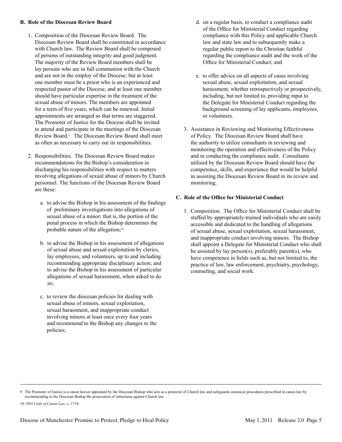#### **B. Role of the Diocesan Review Board**

- 1.Composition of the Diocesan Review Board. The Diocesan Review Board shall be constituted in accordance with Church law. The Review Board shall be composed of persons of outstanding integrity and good judgment. The majority of the Review Board members shall be lay persons who are in full communion with the Church and are not in the employ of the Diocese; but at least one member must be a priest who is an experienced and respected pastor of the Diocese, and at least one member should have particular expertise in the treatment of the sexual abuse of minors. The members are appointed for a term of five years, which can be renewed. Initial appointments are arranged so that terms are staggered. The Promoter of Justice for the Diocese shall be invited to attend and participate in the meetings of the Diocesan Review Board.9 The Diocesan Review Board shall meet as often as necessary to carry out its responsibilities.
- 2.Responsibilities. The Diocesan Review Board makes recommendations for the Bishop's consideration in discharging his responsibilities with respect to matters involving allegations of sexual abuse of minors by Church personnel. The functions of the Diocesan Review Board are these:
	- a.to advise the Bishop in his assessment of the findings of preliminary investigations into allegations of sexual abuse of a minor; that is, the portion of the penal process in which the Bishop determines the probable nature of the allegation;<sup>10</sup>
	- b. to advise the Bishop in his assessment of allegations of sexual abuse and sexual exploitation by clerics, lay employees, and volunteers, up to and including recommending appropriate disciplinary action; and to advise the Bishop in his assessment of particular allegations of sexual harassment, when asked to do so;
	- c. to review the diocesan policies for dealing with sexual abuse of minors, sexual exploitation, sexual harassment, and inappropriate conduct involving minors at least once every four years and recommend to the Bishop any changes to the policies;
- d. on a regular basis, to conduct a compliance audit of the Office for Ministerial Conduct regarding compliance with this Policy and applicable Church law and state law and to subsequently make a regular public report to the Christian faithful regarding the compliance audit and the work of the Office for Ministerial Conduct; and
- e. to offer advice on all aspects of cases involving sexual abuse, sexual exploitation, and sexual harassment, whether retrospectively or prospectively, including, but not limited to, providing input to the Delegate for Ministerial Conduct regarding the background screening of lay applicants, employees, or volunteers.
- 3.Assistance in Reviewing and Monitoring Effectiveness of Policy. The Diocesan Review Board shall have the authority to utilize consultants in reviewing and monitoring the operation and effectiveness of the Policy and in conducting the compliance audit. Consultants utilized by the Diocesan Review Board should have the competence, skills, and experience that would be helpful in assisting the Diocesan Review Board in its review and monitoring.

#### **C. Role of the Office for Ministerial Conduct**

1.Composition. The Office for Ministerial Conduct shall be staffed by appropriately-trained individuals who are easily accessible and dedicated to the handling of allegations of sexual abuse, sexual exploitation, sexual harassment, and inappropriate conduct involving minors. The Bishop shall appoint a Delegate for Ministerial Conduct who shall be assisted by lay person(s), preferably parent(s), who have competence in fields such as, but not limited to, the practice of law, law enforcement, psychiatry, psychology, counseling, and social work.

<sup>9</sup> The Promoter of Justice is a canon lawyer appointed by the Diocesan Bishop who acts as a protector of Church law and safeguards canonical procedures prescribed in canon law by recommending to the Diocesan Bishop the prosecution of infractions against Church law.

<sup>10</sup> *1983 Code of Canon Law*, c. 1718.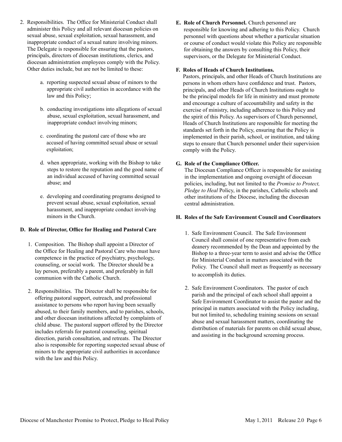- 2. Responsibilities. The Office for Ministerial Conduct shall administer this Policy and all relevant diocesan policies on sexual abuse, sexual exploitation, sexual harassment, and inappropriate conduct of a sexual nature involving minors. The Delegate is responsible for ensuring that the pastors, principals, directors of diocesan institutions, clerics, and diocesan administration employees comply with the Policy. Other duties include, but are not be limited to these:
	- a. reporting suspected sexual abuse of minors to the appropriate civil authorities in accordance with the law and this Policy;
	- b. conducting investigations into allegations of sexual abuse, sexual exploitation, sexual harassment, and inappropriate conduct involving minors;
	- c. coordinating the pastoral care of those who are accused of having committed sexual abuse or sexual exploitation;
	- d. when appropriate, working with the Bishop to take steps to restore the reputation and the good name of an individual accused of having committed sexual abuse; and
	- e. developing and coordinating programs designed to prevent sexual abuse, sexual exploitation, sexual harassment, and inappropriate conduct involving minors in the Church.

#### **D. Role of Director, Office for Healing and Pastoral Care**

- 1.Composition. The Bishop shall appoint a Director of the Office for Healing and Pastoral Care who must have competence in the practice of psychiatry, psychology, counseling, or social work. The Director should be a lay person, preferably a parent, and preferably in full communion with the Catholic Church.
- 2. Responsibilities. The Director shall be responsible for offering pastoral support, outreach, and professional assistance to persons who report having been sexually abused, to their family members, and to parishes, schools, and other diocesan institutions affected by complaints of child abuse. The pastoral support offered by the Director includes referrals for pastoral counseling, spiritual direction, parish consultation, and retreats. The Director also is responsible for reporting suspected sexual abuse of minors to the appropriate civil authorities in accordance with the law and this Policy.

**E. Role of Church Personnel.** Church personnel are responsible for knowing and adhering to this Policy. Church personnel with questions about whether a particular situation or course of conduct would violate this Policy are responsible for obtaining the answers by consulting this Policy, their supervisors, or the Delegate for Ministerial Conduct.

#### **F. Roles of Heads of Church Institutions.**

Pastors, principals, and other Heads of Church Institutions are persons in whom others have confidence and trust. Pastors, principals, and other Heads of Church Institutions ought to be the principal models for life in ministry and must promote and encourage a culture of accountability and safety in the exercise of ministry, including adherence to this Policy and the spirit of this Policy. As supervisors of Church personnel, Heads of Church Institutions are responsible for meeting the standards set forth in the Policy, ensuring that the Policy is implemented in their parish, school, or institution, and taking steps to ensure that Church personnel under their supervision comply with the Policy.

#### **G. Role of the Compliance Officer.**

The Diocesan Compliance Officer is responsible for assisting in the implementation and ongoing oversight of diocesan policies, including, but not limited to the *Promise to Protect, Pledge to Heal* Policy, in the parishes, Catholic schools and other institutions of the Diocese, including the diocesan central administration.

#### **H. Roles of the Safe Environment Council and Coordinators**

- 1.Safe Environment Council. The Safe Environment Council shall consist of one representative from each deanery recommended by the Dean and appointed by the Bishop to a three-year term to assist and advise the Office for Ministerial Conduct in matters associated with the Policy. The Council shall meet as frequently as necessary to accomplish its duties.
- 2.Safe Environment Coordinators. The pastor of each parish and the principal of each school shall appoint a Safe Environment Coordinator to assist the pastor and the principal in matters associated with the Policy including, but not limited to, scheduling training sessions on sexual abuse and sexual harassment matters, coordinating the distribution of materials for parents on child sexual abuse, and assisting in the background screening process.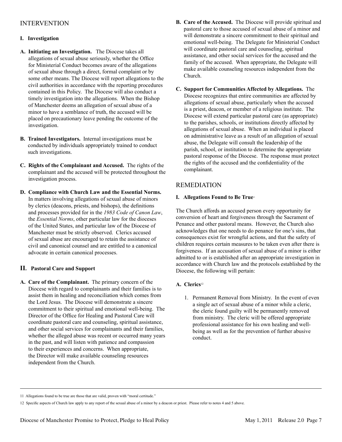### INTERVENTION

#### **I. Investigation**

- **A. Initiating an Investigation.** The Diocese takes all allegations of sexual abuse seriously, whether the Office for Ministerial Conduct becomes aware of the allegations of sexual abuse through a direct, formal complaint or by some other means. The Diocese will report allegations to the civil authorities in accordance with the reporting procedures contained in this Policy. The Diocese will also conduct a timely investigation into the allegations. When the Bishop of Manchester deems an allegation of sexual abuse of a minor to have a semblance of truth, the accused will be placed on precautionary leave pending the outcome of the investigation.
- **B. Trained Investigators.** Internal investigations must be conducted by individuals appropriately trained to conduct such investigations.
- **C. Rights of the Complainant and Accused.** The rights of the complainant and the accused will be protected throughout the investigation process.
- **D. Compliance with Church Law and the Essential Norms.** In matters involving allegations of sexual abuse of minors by clerics (deacons, priests, and bishops), the definitions and processes provided for in the *1983 Code of Canon Law*, the *Essential Norms*, other particular law for the dioceses of the United States, and particular law of the Diocese of Manchester must be strictly observed. Clerics accused of sexual abuse are encouraged to retain the assistance of civil and canonical counsel and are entitled to a canonical advocate in certain canonical processes.

#### **II. Pastoral Care and Support**

**A. Care of the Complainant.** The primary concern of the Diocese with regard to complainants and their families is to assist them in healing and reconciliation which comes from the Lord Jesus. The Diocese will demonstrate a sincere commitment to their spiritual and emotional well-being. The Director of the Office for Healing and Pastoral Care will coordinate pastoral care and counseling, spiritual assistance, and other social services for complainants and their families, whether the alleged abuse was recent or occurred many years in the past, and will listen with patience and compassion to their experiences and concerns. When appropriate, the Director will make available counseling resources independent from the Church.

- **B. Care of the Accused.** The Diocese will provide spiritual and pastoral care to those accused of sexual abuse of a minor and will demonstrate a sincere commitment to their spiritual and emotional well-being. The Delegate for Ministerial Conduct will coordinate pastoral care and counseling, spiritual assistance, and other social services for the accused and the family of the accused. When appropriate, the Delegate will make available counseling resources independent from the Church.
- **C. Support for Communities Affected by Allegations.** The Diocese recognizes that entire communities are affected by allegations of sexual abuse, particularly when the accused is a priest, deacon, or member of a religious institute. The Diocese will extend particular pastoral care (as appropriate) to the parishes, schools, or institutions directly affected by allegations of sexual abuse. When an individual is placed on administrative leave as a result of an allegation of sexual abuse, the Delegate will consult the leadership of the parish, school, or institution to determine the appropriate pastoral response of the Diocese. The response must protect the rights of the accused and the confidentiality of the complainant.

#### REMEDIATION

#### **I.** Allegations Found to Be True<sup>11</sup>

The Church affords an accused person every opportunity for conversion of heart and forgiveness through the Sacrament of Penance and other pastoral means. However, the Church also acknowledges that one needs to do penance for one's sins, that consequences exist for wrongful actions, and that the safety of children requires certain measures to be taken even after there is forgiveness. If an accusation of sexual abuse of a minor is either admitted to or is established after an appropriate investigation in accordance with Church law and the protocols established by the Diocese, the following will pertain:

#### A. Clerics<sup>12</sup>

1.Permanent Removal from Ministry. In the event of even a single act of sexual abuse of a minor while a cleric, the cleric found guilty will be permanently removed from ministry. The cleric will be offered appropriate professional assistance for his own healing and wellbeing as well as for the prevention of further abusive conduct.

<sup>11</sup> Allegations found to be true are those that are valid, proven with "moral certitude."

<sup>12</sup> Specific aspects of Church law apply to any report of the sexual abuse of a minor by a deacon or priest. Please refer to notes 4 and 5 above.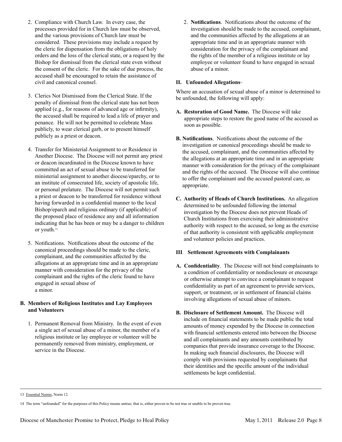- 2.Compliance with Church Law. In every case, the processes provided for in Church law must be observed, and the various provisions of Church law must be considered. These provisions may include a request by the cleric for dispensation from the obligations of holy orders and the loss of the clerical state, or a request by the Bishop for dismissal from the clerical state even without the consent of the cleric. For the sake of due process, the accused shall be encouraged to retain the assistance of civil and canonical counsel.
- 3. Clerics Not Dismissed from the Clerical State. If the penalty of dismissal from the clerical state has not been applied (e.g., for reasons of advanced age or infirmity), the accused shall be required to lead a life of prayer and penance. He will not be permitted to celebrate Mass publicly, to wear clerical garb, or to present himself publicly as a priest or deacon.
- 4.Transfer for Ministerial Assignment to or Residence in Another Diocese. The Diocese will not permit any priest or deacon incardinated in the Diocese known to have committed an act of sexual abuse to be transferred for ministerial assignment to another diocese/eparchy, or to an institute of consecrated life, society of apostolic life, or personal prelature. The Diocese will not permit such a priest or deacon to be transferred for residence without having forwarded in a confidential manner to the local Bishop/eparch and religious ordinary (if applicable) of the proposed place of residence any and all information indicating that he has been or may be a danger to children or youth.13
- 5.Notifications. Notifications about the outcome of the canonical proceedings should be made to the cleric, complainant, and the communities affected by the allegations at an appropriate time and in an appropriate manner with consideration for the privacy of the complainant and the rights of the cleric found to have engaged in sexual abuse of a minor.

#### **B. Members of Religious Institutes and Lay Employees and Volunteers**

1.Permanent Removal from Ministry. In the event of even a single act of sexual abuse of a minor, the member of a religious institute or lay employee or volunteer will be permanently removed from ministry, employment, or service in the Diocese.

2. **Notifications**. Notifications about the outcome of the investigation should be made to the accused, complainant, and the communities affected by the allegations at an appropriate time and in an appropriate manner with consideration for the privacy of the complainant and the rights of the member of a religious institute or lay employee or volunteer found to have engaged in sexual abuse of a minor.

#### **II. Unfounded Allegations**14

Where an accusation of sexual abuse of a minor is determined to be unfounded, the following will apply:

- **A. Restoration of Good Name.** The Diocese will take appropriate steps to restore the good name of the accused as soon as possible.
- **B. Notifications**. Notifications about the outcome of the investigation or canonical proceedings should be made to the accused, complainant, and the communities affected by the allegations at an appropriate time and in an appropriate manner with consideration for the privacy of the complainant and the rights of the accused. The Diocese will also continue to offer the complainant and the accused pastoral care, as appropriate.
- **C. Authority of Heads of Church Institutions.** An allegation determined to be unfounded following the internal investigation by the Diocese does not prevent Heads of Church Institutions from exercising their administrative authority with respect to the accused, so long as the exercise of that authority is consistent with applicable employment and volunteer policies and practices.

#### **III**. **Settlement Agreements with Complainants**

- **A. Confidentiality**. The Diocese will not bind complainants to a condition of confidentiality or nondisclosure or encourage or otherwise attempt to convince a complainant to request confidentiality as part of an agreement to provide services, support, or treatment, or in settlement of financial claims involving allegations of sexual abuse of minors.
- **B. Disclosure of Settlement Amount.** The Diocese will include on financial statements to be made public the total amounts of money expended by the Diocese in connection with financial settlements entered into between the Diocese and all complainants and any amounts contributed by companies that provide insurance coverage to the Diocese. In making such financial disclosures, the Diocese will comply with provisions requested by complainants that their identities and the specific amount of the individual settlements be kept confidential.

13 Essential Norms, Norm 12.

<sup>14</sup> The term "unfounded" for the purposes of this Policy means untrue; that is, either proven to be not true or unable to be proven true.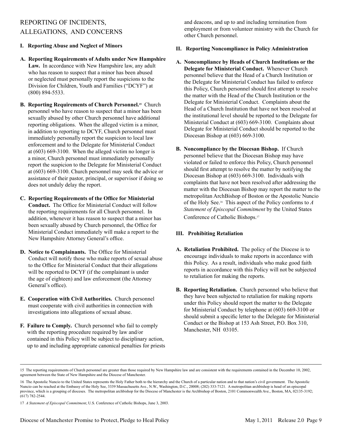## REPORTING OF INCIDENTS, ALLEGATIONS, AND CONCERNS

#### **I. Reporting Abuse and Neglect of Minors**

- **A. Reporting Requirements of Adults under New Hampshire Law.** In accordance with New Hampshire law, any adult who has reason to suspect that a minor has been abused or neglected must personally report the suspicions to the Division for Children, Youth and Families ("DCYF") at (800) 894-5533.
- **B. Reporting Requirements of Church Personnel. <sup>15</sup>** Church personnel who have reason to suspect that a minor has been sexually abused by other Church personnel have additional reporting obligations. When the alleged victim is a minor, in addition to reporting to DCYF, Church personnel must immediately personally report the suspicion to local law enforcement and to the Delegate for Ministerial Conduct at (603) 669-3100. When the alleged victim no longer is a minor, Church personnel must immediately personally report the suspicion to the Delegate for Ministerial Conduct at (603) 669-3100. Church personnel may seek the advice or assistance of their pastor, principal, or supervisor if doing so does not unduly delay the report.
- **C. Reporting Requirements of the Office for Ministerial Conduct.** The Office for Ministerial Conduct will follow the reporting requirements for all Church personnel. In addition, whenever it has reason to suspect that a minor has been sexually abused by Church personnel, the Office for Ministerial Conduct immediately will make a report to the New Hampshire Attorney General's office.
- **D. Notice to Complainants.** The Office for Ministerial Conduct will notify those who make reports of sexual abuse to the Office for Ministerial Conduct that their allegations will be reported to DCYF (if the complainant is under the age of eighteen) and law enforcement (the Attorney General's office).
- **E. Cooperation with Civil Authorities.** Church personnel must cooperate with civil authorities in connection with investigations into allegations of sexual abuse.
- **F. Failure to Comply.** Church personnel who fail to comply with the reporting procedure required by law and/or contained in this Policy will be subject to disciplinary action, up to and including appropriate canonical penalties for priests

 and deacons, and up to and including termination from employment or from volunteer ministry with the Church for other Church personnel.

#### **II. Reporting Noncompliance in Policy Administration**

- **A. Noncompliance by Heads of Church Institutions or the Delegate for Ministerial Conduct.** Whenever Church personnel believe that the Head of a Church Institution or the Delegate for Ministerial Conduct has failed to enforce this Policy, Church personnel should first attempt to resolve the matter with the Head of the Church Institution or the Delegate for Ministerial Conduct. Complaints about the Head of a Church Institution that have not been resolved at the institutional level should be reported to the Delegate for Ministerial Conduct at (603) 669-3100. Complaints about Delegate for Ministerial Conduct should be reported to the Diocesan Bishop at (603) 669-3100.
- **B. Noncompliance by the Diocesan Bishop.** If Church personnel believe that the Diocesan Bishop may have violated or failed to enforce this Policy, Church personnel should first attempt to resolve the matter by notifying the Diocesan Bishop at (603) 669-3100. Individuals with complaints that have not been resolved after addressing the matter with the Diocesan Bishop may report the matter to the metropolitan ArchBishop of Boston or the Apostolic Nuncio of the Holy See.16 This aspect of the Policy conforms to *A Statement of Episcopal Commitment* by the United States Conference of Catholic Bishops.17

#### **III. Prohibiting Retaliation**

- **A. Retaliation Prohibited.** The policy of the Diocese is to encourage individuals to make reports in accordance with this Policy. As a result, individuals who make good faith reports in accordance with this Policy will not be subjected to retaliation for making the reports.
- **B. Reporting Retaliation.** Church personnel who believe that they have been subjected to retaliation for making reports under this Policy should report the matter to the Delegate for Ministerial Conduct by telephone at (603) 669-3100 or should submit a specific letter to the Delegate for Ministerial Conduct or the Bishop at 153 Ash Street, P.O. Box 310, Manchester, NH 03105.

<sup>15</sup> The reporting requirements of Church personnel are greater than those required by New Hampshire law and are consistent with the requirements contained in the December 10, 2002, agreement between the State of New Hampshire and the Diocese of Manchester.

<sup>16</sup> The Apostolic Nuncio to the United States represents the Holy Father both to the hierarchy and the Church of a particular nation and to that nation's civil government. The Apostolic Nuncio can be reached at the Embassy of the Holy See, 3339 Massachusetts Ave., N.W., Washington, D.C., 20008; (202) 333-7121. A metropolitan archbishop is head of an episcopal province, which is a grouping of dioceses. The metropolitan archbishop for the Diocese of Manchester is the Archbishop of Boston, 2101 Commonwealth Ave., Boston, MA, 02135-3192; (617) 782-2544.

<sup>17</sup> *A Statement of Episcopal Commitment*, U.S. Conference of Catholic Bishops, June 3, 2003.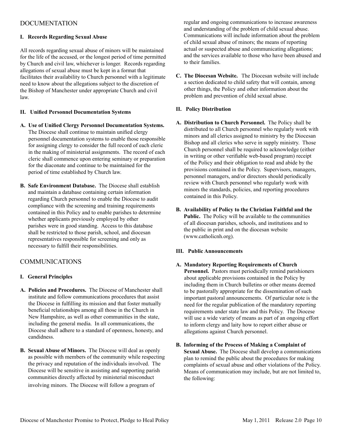## DOCUMENTATION

#### **I. Records Regarding Sexual Abuse**

All records regarding sexual abuse of minors will be maintained for the life of the accused, or the longest period of time permitted by Church and civil law, whichever is longer. Records regarding allegations of sexual abuse must be kept in a format that facilitates their availability to Church personnel with a legitimate need to know about the allegations subject to the discretion of the Bishop of Manchester under appropriate Church and civil law.

#### **II. Unified Personnel Documentation Systems**

- **A. Use of Unified Clergy Personnel Documentation Systems.** The Diocese shall continue to maintain unified clergy personnel documentation systems to enable those responsible for assigning clergy to consider the full record of each cleric in the making of ministerial assignments. The record of each cleric shall commence upon entering seminary or preparation for the diaconate and continue to be maintained for the period of time established by Church law.
- **B. Safe Environment Database.** The Diocese shall establish and maintain a database containing certain information regarding Church personnel to enable the Diocese to audit compliance with the screening and training requirements contained in this Policy and to enable parishes to determine whether applicants previously employed by other parishes were in good standing. Access to this database shall be restricted to those parish, school, and diocesan representatives responsible for screening and only as necessary to fulfill their responsibilities.

#### COMMUNICATIONS

#### **I. General Principles**

- **A. Policies and Procedures.** The Diocese of Manchester shall institute and follow communications procedures that assist the Diocese in fulfilling its mission and that foster mutually beneficial relationships among all those in the Church in New Hampshire, as well as other communities in the state, including the general media. In all communications, the Diocese shall adhere to a standard of openness, honesty, and candidness.
- **B. Sexual Abuse of Minors.** The Diocese will deal as openly as possible with members of the community while respecting the privacy and reputation of the individuals involved. The Diocese will be sensitive in assisting and supporting parish communities directly affected by ministerial misconduct involving minors. The Diocese will follow a program of

regular and ongoing communications to increase awareness and understanding of the problem of child sexual abuse. Communications will include information about the problem of child sexual abuse of minors; the means of reporting actual or suspected abuse and communicating allegations; and the services available to those who have been abused and to their families.

**C. The Diocesan Website.** The Diocesan website will include a section dedicated to child safety that will contain, among other things, the Policy and other information about the problem and prevention of child sexual abuse.

#### **II. Policy Distribution**

- **A. Distribution to Church Personnel.** The Policy shall be distributed to all Church personnel who regularly work with minors and all clerics assigned to ministry by the Diocesan Bishop and all clerics who serve in supply ministry. Those Church personnel shall be required to acknowledge (either in writing or other verifiable web-based program) receipt of the Policy and their obligation to read and abide by the provisions contained in the Policy. Supervisors, managers, personnel managers, and/or directors should periodically review with Church personnel who regularly work with minors the standards, policies, and reporting procedures contained in this Policy.
- **B. Availability of Policy to the Christian Faithful and the Public.** The Policy will be available to the communities of all diocesan parishes, schools, and institutions and to the public in print and on the diocesan website (www.catholicnh.org).

#### **III. Public Announcements**

- **A. Mandatory Reporting Requirements of Church Personnel.** Pastors must periodically remind parishioners about applicable provisions contained in the Policy by including them in Church bulletins or other means deemed to be pastorally appropriate for the dissemination of such important pastoral announcements. Of particular note is the need for the regular publication of the mandatory reporting requirements under state law and this Policy. The Diocese will use a wide variety of means as part of an ongoing effort to inform clergy and laity how to report either abuse or allegations against Church personnel.
- **B. Informing of the Process of Making a Complaint of Sexual Abuse.** The Diocese shall develop a communications plan to remind the public about the procedures for making complaints of sexual abuse and other violations of the Policy. Means of communication may include, but are not limited to, the following: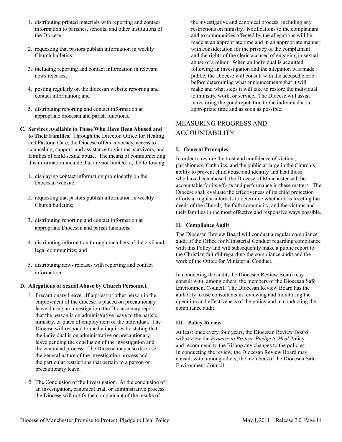- 1. distributing printed materials with reporting and contact information to parishes, schools, and other institutions of the Diocese;
- 2. requesting that pastors publish information in weekly Church bulletins;
- 3. including reporting and contact information in relevant news releases;
- 4. posting regularly on the diocesan website reporting and contact information; and
- 5. distributing reporting and contact information at appropriate diocesan and parish functions.
- **C. Services Available to Those Who Have Been Abused and to Their Families.** Through the Director, Office for Healing and Pastoral Care, the Diocese offers advocacy, access to counseling, support, and assistance to victims, survivors, and families of child sexual abuse. The means of communicating this information include, but are not limited to, the following:
	- 1. displaying contact information prominently on the Diocesan website;
	- 2. requesting that pastors publish information in weekly Church bulletins;
	- 3. distributing reporting and contact information at appropriate Diocesan and parish functions;
	- 4. distributing information through members of the civil and legal communities; and
	- 5. distributing news releases with reporting and contact information.

#### **D. Allegations of Sexual Abuse by Church Personnel.**

- 1. Precautionary Leave. If a priest or other person in the employment of the diocese is placed on precautionary leave during an investigation, the Diocese may report that the person is on administrative leave to the parish, ministry, or place of employment of the individual. The Diocese will respond to media inquiries by stating that the individual is on administrative or precautionary leave pending the conclusion of the investigation and the canonical process. The Diocese may also disclose the general nature of the investigation process and the particular restrictions that pertain to a person on precautionary leave.
- 2. The Conclusion of the Investigation. At the conclusion of an investigation, canonical trial, or administrative process, the Diocese will notify the complainant of the results of

the investigative and canonical process, including any restrictions on ministry. Notifications to the complainant and to communities affected by the allegations will be made at an appropriate time and in an appropriate manner with consideration for the privacy of the complainant and the rights of the cleric accused of engaging in sexual abuse of a minor. When an individual is acquitted following an investigation and the allegation was made public, the Diocese will consult with the accused cleric before determining what announcements that it will make and what steps it will take to restore the individual to ministry, work, or service. The Diocese will assist in restoring the good reputation to the individual at an appropriate time and as soon as possible.

## MEASURING PROGRESS AND ACCOUNTABILITY

#### **I. General Principles**

In order to restore the trust and confidence of victims, parishioners, Catholics, and the public at large in the Church's ability to prevent child abuse and identify and heal those who have been abused, the Diocese of Manchester will be accountable for its efforts and performance in these matters. The Diocese shall evaluate the effectiveness of its child protection efforts at regular intervals to determine whether it is meeting the needs of the Church, the faith community, and the victims and their families in the most effective and responsive ways possible.

#### **II. Compliance Audit**

The Diocesan Review Board will conduct a regular compliance audit of the Office for Ministerial Conduct regarding compliance with this Policy and will subsequently make a public report to the Christian faithful regarding the compliance audit and the work of the Office for Ministerial Conduct.

In conducting the audit, the Diocesan Review Board may consult with, among others, the members of the Diocesan Safe Environment Council. The Diocesan Review Board has the authority to use consultants in reviewing and monitoring the operation and effectiveness of the policy and in conducting the compliance audit.

#### **III. Policy Review**

At least once every four years, the Diocesan Review Board will review the *Promise to Protect, Pledge to Heal* Policy and recommend to the Bishop any changes to the policies. In conducting the review, the Diocesan Review Board may consult with, among others, the members of the Diocesan Safe Environment Council.